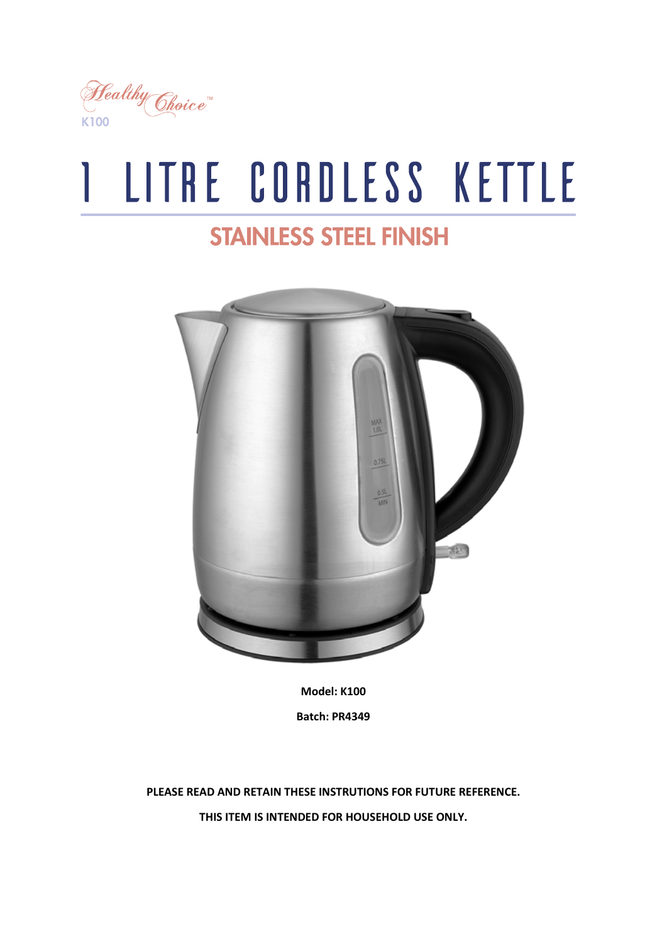

# I LITRE CORDLESS KETTLE

# **STAINLESS STEEL FINISH**



**Model: K100 Batch: PR4349**

**PLEASE READ AND RETAIN THESE INSTRUTIONS FOR FUTURE REFERENCE. THIS ITEM IS INTENDED FOR HOUSEHOLD USE ONLY.**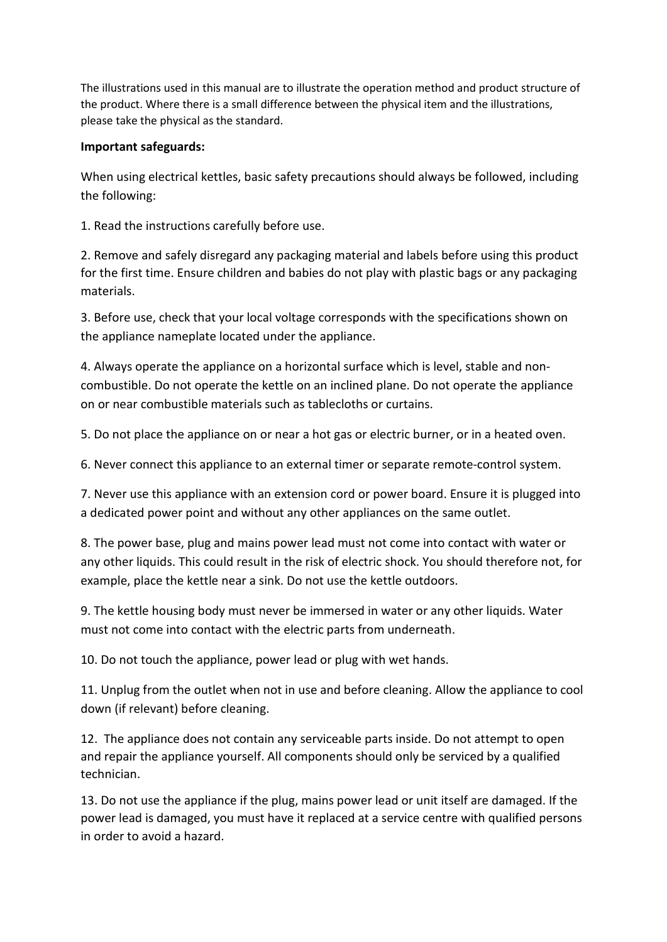The illustrations used in this manual are to illustrate the operation method and product structure of the product. Where there is a small difference between the physical item and the illustrations, please take the physical as the standard.

#### **Important safeguards:**

When using electrical kettles, basic safety precautions should always be followed, including the following:

1. Read the instructions carefully before use.

2. Remove and safely disregard any packaging material and labels before using this product for the first time. Ensure children and babies do not play with plastic bags or any packaging materials.

3. Before use, check that your local voltage corresponds with the specifications shown on the appliance nameplate located under the appliance.

4. Always operate the appliance on a horizontal surface which is level, stable and noncombustible. Do not operate the kettle on an inclined plane. Do not operate the appliance on or near combustible materials such as tablecloths or curtains.

5. Do not place the appliance on or near a hot gas or electric burner, or in a heated oven.

6. Never connect this appliance to an external timer or separate remote-control system.

7. Never use this appliance with an extension cord or power board. Ensure it is plugged into a dedicated power point and without any other appliances on the same outlet.

8. The power base, plug and mains power lead must not come into contact with water or any other liquids. This could result in the risk of electric shock. You should therefore not, for example, place the kettle near a sink. Do not use the kettle outdoors.

9. The kettle housing body must never be immersed in water or any other liquids. Water must not come into contact with the electric parts from underneath.

10. Do not touch the appliance, power lead or plug with wet hands.

11. Unplug from the outlet when not in use and before cleaning. Allow the appliance to cool down (if relevant) before cleaning.

12. The appliance does not contain any serviceable parts inside. Do not attempt to open and repair the appliance yourself. All components should only be serviced by a qualified technician.

13. Do not use the appliance if the plug, mains power lead or unit itself are damaged. If the power lead is damaged, you must have it replaced at a service centre with qualified persons in order to avoid a hazard.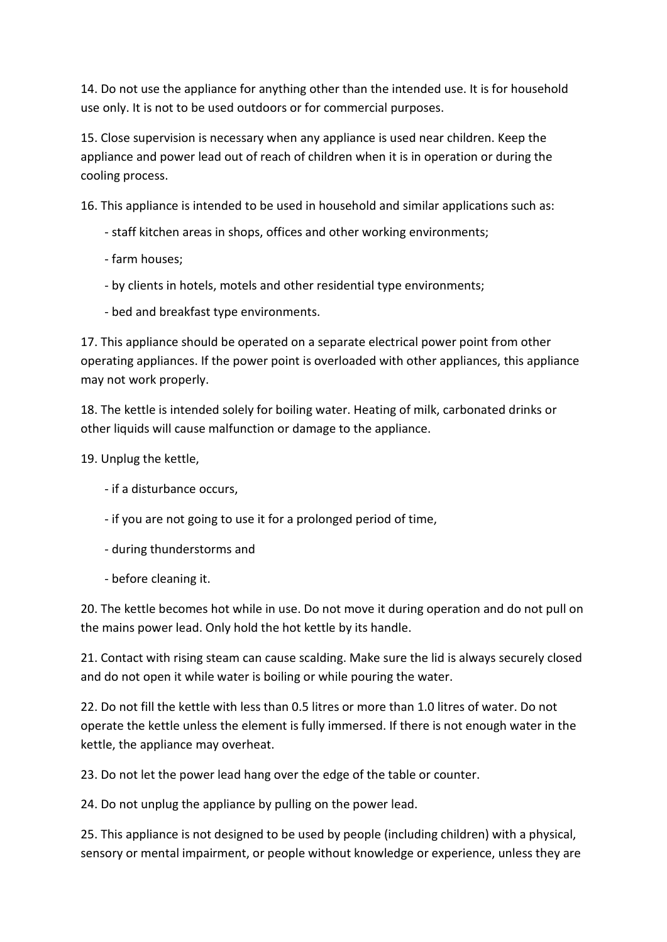14. Do not use the appliance for anything other than the intended use. It is for household use only. It is not to be used outdoors or for commercial purposes.

15. Close supervision is necessary when any appliance is used near children. Keep the appliance and power lead out of reach of children when it is in operation or during the cooling process.

16. This appliance is intended to be used in household and similar applications such as:

- staff kitchen areas in shops, offices and other working environments;
- farm houses;
- by clients in hotels, motels and other residential type environments;
- bed and breakfast type environments.

17. This appliance should be operated on a separate electrical power point from other operating appliances. If the power point is overloaded with other appliances, this appliance may not work properly.

18. The kettle is intended solely for boiling water. Heating of milk, carbonated drinks or other liquids will cause malfunction or damage to the appliance.

19. Unplug the kettle,

- if a disturbance occurs,
- if you are not going to use it for a prolonged period of time,
- during thunderstorms and
- before cleaning it.

20. The kettle becomes hot while in use. Do not move it during operation and do not pull on the mains power lead. Only hold the hot kettle by its handle.

21. Contact with rising steam can cause scalding. Make sure the lid is always securely closed and do not open it while water is boiling or while pouring the water.

22. Do not fill the kettle with less than 0.5 litres or more than 1.0 litres of water. Do not operate the kettle unless the element is fully immersed. If there is not enough water in the kettle, the appliance may overheat.

23. Do not let the power lead hang over the edge of the table or counter.

24. Do not unplug the appliance by pulling on the power lead.

25. This appliance is not designed to be used by people (including children) with a physical, sensory or mental impairment, or people without knowledge or experience, unless they are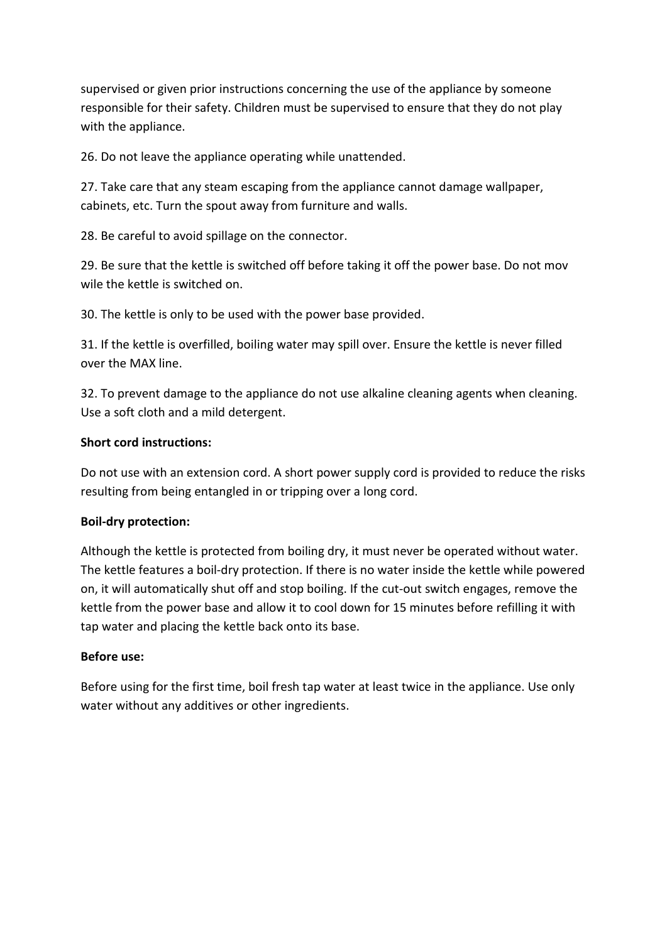supervised or given prior instructions concerning the use of the appliance by someone responsible for their safety. Children must be supervised to ensure that they do not play with the appliance.

26. Do not leave the appliance operating while unattended.

27. Take care that any steam escaping from the appliance cannot damage wallpaper, cabinets, etc. Turn the spout away from furniture and walls.

28. Be careful to avoid spillage on the connector.

29. Be sure that the kettle is switched off before taking it off the power base. Do not mov wile the kettle is switched on.

30. The kettle is only to be used with the power base provided.

31. If the kettle is overfilled, boiling water may spill over. Ensure the kettle is never filled over the MAX line.

32. To prevent damage to the appliance do not use alkaline cleaning agents when cleaning. Use a soft cloth and a mild detergent.

#### **Short cord instructions:**

Do not use with an extension cord. A short power supply cord is provided to reduce the risks resulting from being entangled in or tripping over a long cord.

#### **Boil-dry protection:**

Although the kettle is protected from boiling dry, it must never be operated without water. The kettle features a boil-dry protection. If there is no water inside the kettle while powered on, it will automatically shut off and stop boiling. If the cut-out switch engages, remove the kettle from the power base and allow it to cool down for 15 minutes before refilling it with tap water and placing the kettle back onto its base.

#### **Before use:**

Before using for the first time, boil fresh tap water at least twice in the appliance. Use only water without any additives or other ingredients.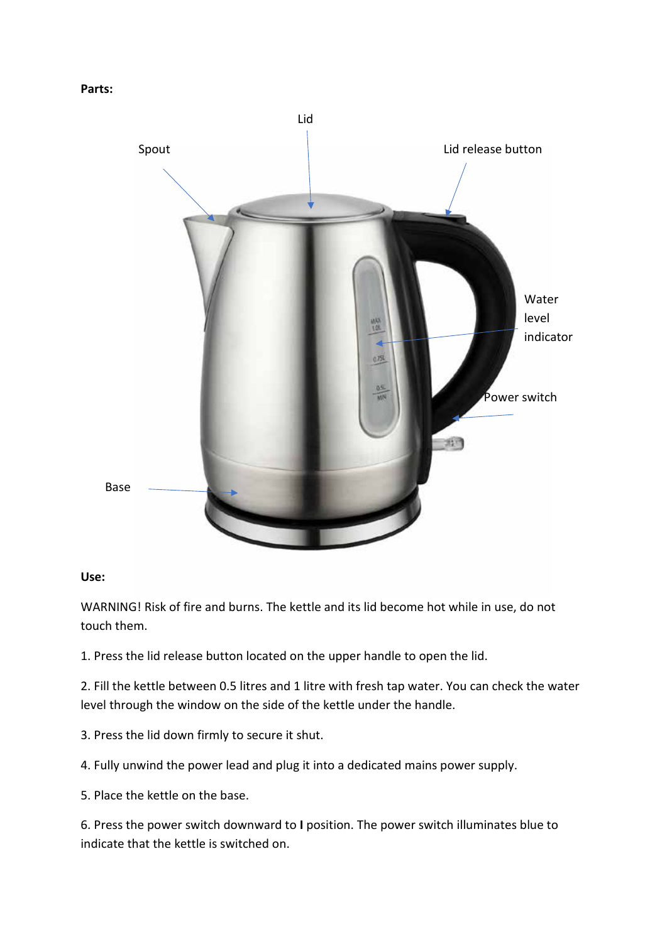```
Parts:
```


#### **Use:**

WARNING! Risk of fire and burns. The kettle and its lid become hot while in use, do not touch them.

1. Press the lid release button located on the upper handle to open the lid.

2. Fill the kettle between 0.5 litres and 1 litre with fresh tap water. You can check the water level through the window on the side of the kettle under the handle.

- 3. Press the lid down firmly to secure it shut.
- 4. Fully unwind the power lead and plug it into a dedicated mains power supply.
- 5. Place the kettle on the base.

6. Press the power switch downward to **I** position. The power switch illuminates blue to indicate that the kettle is switched on.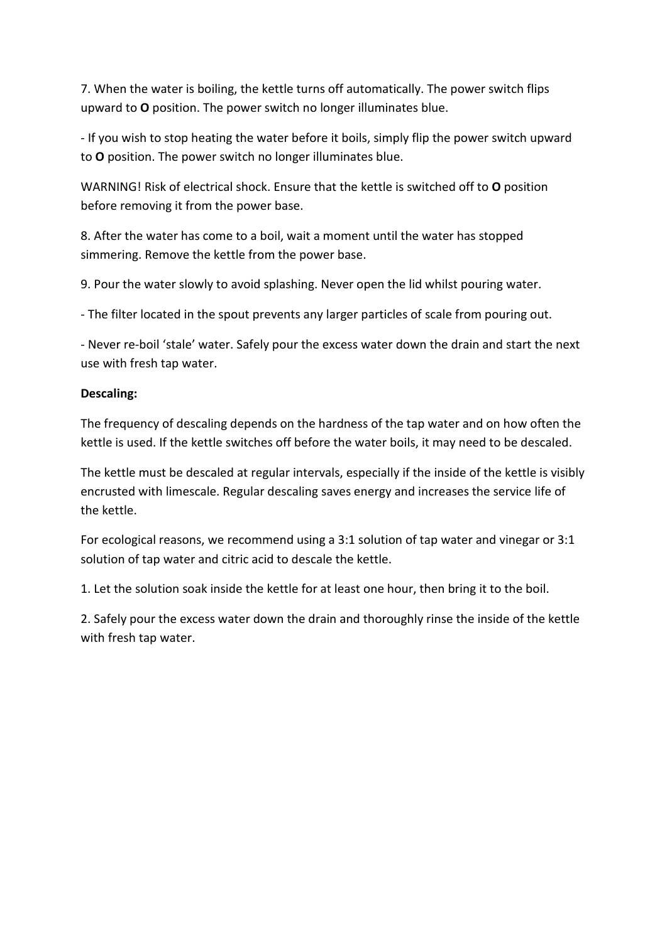7. When the water is boiling, the kettle turns off automatically. The power switch flips upward to **O** position. The power switch no longer illuminates blue.

- If you wish to stop heating the water before it boils, simply flip the power switch upward to **O** position. The power switch no longer illuminates blue.

WARNING! Risk of electrical shock. Ensure that the kettle is switched off to **O** position before removing it from the power base.

8. After the water has come to a boil, wait a moment until the water has stopped simmering. Remove the kettle from the power base.

9. Pour the water slowly to avoid splashing. Never open the lid whilst pouring water.

- The filter located in the spout prevents any larger particles of scale from pouring out.

- Never re-boil 'stale' water. Safely pour the excess water down the drain and start the next use with fresh tap water.

# **Descaling:**

The frequency of descaling depends on the hardness of the tap water and on how often the kettle is used. If the kettle switches off before the water boils, it may need to be descaled.

The kettle must be descaled at regular intervals, especially if the inside of the kettle is visibly encrusted with limescale. Regular descaling saves energy and increases the service life of the kettle.

For ecological reasons, we recommend using a 3:1 solution of tap water and vinegar or 3:1 solution of tap water and citric acid to descale the kettle.

1. Let the solution soak inside the kettle for at least one hour, then bring it to the boil.

2. Safely pour the excess water down the drain and thoroughly rinse the inside of the kettle with fresh tap water.